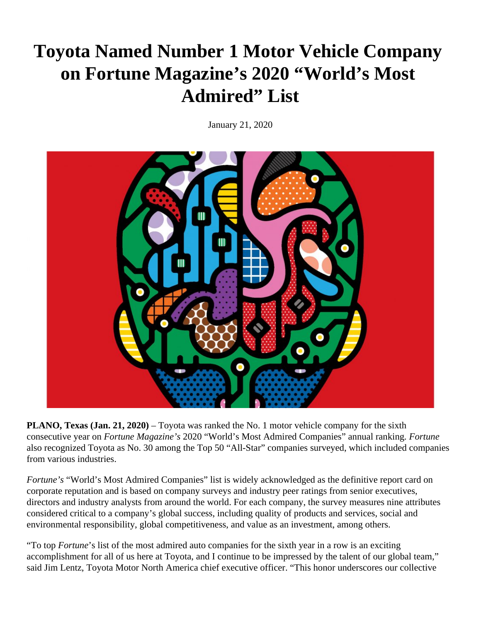## **Toyota Named Number 1 Motor Vehicle Company on Fortune Magazine's 2020 "World's Most Admired" List**

January 21, 2020



**PLANO, Texas (Jan. 21, 2020)** – Toyota was ranked the No. 1 motor vehicle company for the sixth consecutive year on *Fortune Magazine's* 2020 "World's Most Admired Companies" annual ranking*. Fortune*  also recognized Toyota as No. 30 among the Top 50 "All-Star" companies surveyed, which included companies from various industries.

*Fortune's* "World's Most Admired Companies" list is widely acknowledged as the definitive report card on corporate reputation and is based on company surveys and industry peer ratings from senior executives, directors and industry analysts from around the world. For each company, the survey measures nine attributes considered critical to a company's global success, including quality of products and services, social and environmental responsibility, global competitiveness, and value as an investment, among others.

"To top *Fortune*'s list of the most admired auto companies for the sixth year in a row is an exciting accomplishment for all of us here at Toyota, and I continue to be impressed by the talent of our global team," said Jim Lentz, Toyota Motor North America chief executive officer. "This honor underscores our collective